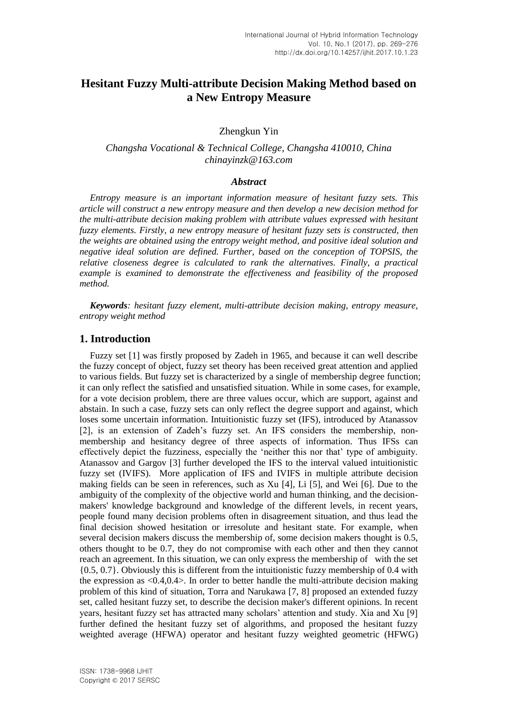# **Hesitant Fuzzy Multi-attribute Decision Making Method based on a New Entropy Measure**

Zhengkun Yin

*Changsha Vocational & Technical College, Changsha 410010, China chinayinzk@163.com*

## *Abstract*

*Entropy measure is an important information measure of hesitant fuzzy sets. This article will construct a new entropy measure and then develop a new decision method for the multi-attribute decision making problem with attribute values expressed with hesitant fuzzy elements. Firstly, a new entropy measure of hesitant fuzzy sets is constructed, then the weights are obtained using the entropy weight method, and positive ideal solution and negative ideal solution are defined. Further, based on the conception of TOPSIS, the relative closeness degree is calculated to rank the alternatives. Finally, a practical example is examined to demonstrate the effectiveness and feasibility of the proposed method.*

*Keywords: hesitant fuzzy element, multi-attribute decision making, entropy measure, entropy weight method*

## **1. Introduction**

Fuzzy set [1] was firstly proposed by Zadeh in 1965, and because it can well describe the fuzzy concept of object, fuzzy set theory has been received great attention and applied to various fields. But fuzzy set is characterized by a single of membership degree function; it can only reflect the satisfied and unsatisfied situation. While in some cases, for example, for a vote decision problem, there are three values occur, which are support, against and abstain. In such a case, fuzzy sets can only reflect the degree support and against, which loses some uncertain information. Intuitionistic fuzzy set (IFS), introduced by Atanassov [2], is an extension of Zadeh"s fuzzy set. An IFS considers the membership, nonmembership and hesitancy degree of three aspects of information. Thus IFSs can effectively depict the fuzziness, especially the "neither this nor that" type of ambiguity. Atanassov and Gargov [3] further developed the IFS to the interval valued intuitionistic fuzzy set (IVIFS). More application of IFS and IVIFS in multiple attribute decision making fields can be seen in references, such as Xu [4], Li [5], and Wei [6]. Due to the ambiguity of the complexity of the objective world and human thinking, and the decisionmakers' knowledge background and knowledge of the different levels, in recent years, people found many decision problems often in disagreement situation, and thus lead the final decision showed hesitation or irresolute and hesitant state. For example, when several decision makers discuss the membership of, some decision makers thought is 0.5, others thought to be 0.7, they do not compromise with each other and then they cannot reach an agreement. In this situation, we can only express the membership of with the set {0.5, 0.7}. Obviously this is different from the intuitionistic fuzzy membership of 0.4 with the expression as <0.4,0.4>. In order to better handle the multi-attribute decision making problem of this kind of situation, Torra and Narukawa [7, 8] proposed an extended fuzzy set, called hesitant fuzzy set, to describe the decision maker's different opinions. In recent years, hesitant fuzzy set has attracted many scholars' attention and study. Xia and Xu [9] further defined the hesitant fuzzy set of algorithms, and proposed the hesitant fuzzy weighted average (HFWA) operator and hesitant fuzzy weighted geometric (HFWG)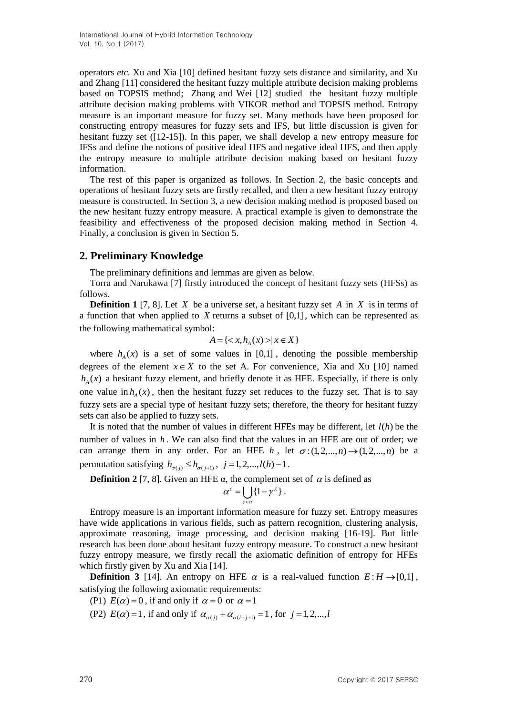operators *etc.* Xu and Xia [10] defined hesitant fuzzy sets distance and similarity, and Xu and Zhang [11] considered the hesitant fuzzy multiple attribute decision making problems based on TOPSIS method; Zhang and Wei [12] studied the hesitant fuzzy multiple attribute decision making problems with VIKOR method and TOPSIS method. Entropy measure is an important measure for fuzzy set. Many methods have been proposed for constructing entropy measures for fuzzy sets and IFS, but little discussion is given for hesitant fuzzy set ([12-15]). In this paper, we shall develop a new entropy measure for IFSs and define the notions of positive ideal HFS and negative ideal HFS, and then apply the entropy measure to multiple attribute decision making based on hesitant fuzzy information.

The rest of this paper is organized as follows. In Section 2, the basic concepts and operations of hesitant fuzzy sets are firstly recalled, and then a new hesitant fuzzy entropy measure is constructed. In Section 3, a new decision making method is proposed based on the new hesitant fuzzy entropy measure. A practical example is given to demonstrate the feasibility and effectiveness of the proposed decision making method in Section 4. Finally, a conclusion is given in Section 5.

# **2. Preliminary Knowledge**

The preliminary definitions and lemmas are given as below.

Torra and Narukawa [7] firstly introduced the concept of hesitant fuzzy sets (HFSs) as follows.

**Definition 1** [7, 8]. Let  $X$  be a universe set, a hesitant fuzzy set  $A$  in  $X$  is in terms of a function that when applied to  $X$  returns a subset of  $[0,1]$ , which can be represented as the following mathematical symbol:

$$
A = \{ \langle x, h_A(x) \rangle \mid x \in X \}
$$

where  $h_A(x)$  is a set of some values in [0,1], denoting the possible membership degrees of the element  $x \in X$  to the set A. For convenience, Xia and Xu [10] named  $h_A(x)$  a hesitant fuzzy element, and briefly denote it as HFE. Especially, if there is only one value in  $h_A(x)$ , then the hesitant fuzzy set reduces to the fuzzy set. That is to say fuzzy sets are a special type of hesitant fuzzy sets; therefore, the theory for hesitant fuzzy sets can also be applied to fuzzy sets.

It is noted that the number of values in different HFEs may be different, let  $l(h)$  be the number of values in *h* . We can also find that the values in an HFE are out of order; we can arrange them in any order. For an HFE *h*, let  $\sigma$ :(1,2,...,*n*)  $\rightarrow$ (1,2,...,*n*) be a permutation satisfying  $h_{\sigma(j)} \leq h_{\sigma(j+1)}$ ,  $j = 1, 2, ..., l(h) - 1$ .

**Definition 2** [7, 8]. Given an HFE  $\alpha$ , the complement set of  $\alpha$  is defined as

$$
\alpha^c = \bigcup_{\gamma \in \alpha} \{1 - \gamma^{\lambda}\}.
$$

Entropy measure is an important information measure for fuzzy set. Entropy measures have wide applications in various fields, such as pattern recognition, clustering analysis, approximate reasoning, image processing, and decision making [16-19]. But little research has been done about hesitant fuzzy entropy measure. To construct a new hesitant fuzzy entropy measure, we firstly recall the axiomatic definition of entropy for HFEs which firstly given by Xu and Xia [14].

**Definition 3** [14]. An entropy on HFE  $\alpha$  is a real-valued function  $E: H \rightarrow [0,1]$ , satisfying the following axiomatic requirements:

(P1)  $E(\alpha) = 0$ , if and only if  $\alpha = 0$  or  $\alpha = 1$ 

(P2)  $E(\alpha) = 1$ , if and only if  $\alpha_{\sigma(j)} + \alpha_{\sigma(l-j+1)} = 1$ , for  $j = 1, 2, ..., l$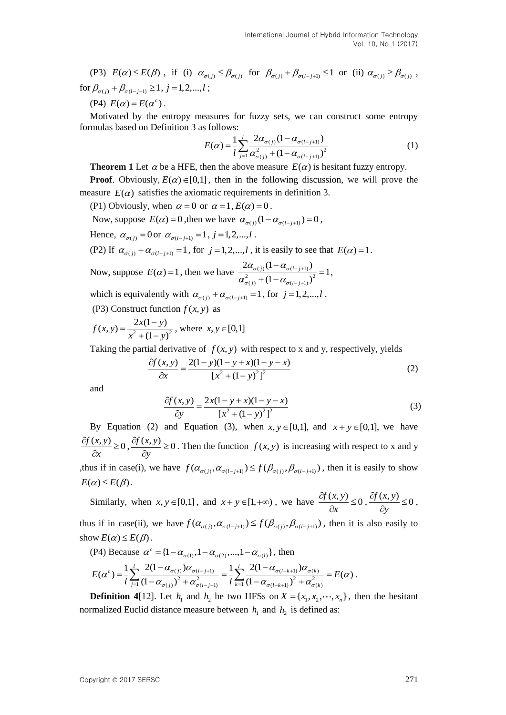(P3)  $E(\alpha) \le E(\beta)$ , if (i)  $\alpha_{\sigma(j)} \le \beta_{\sigma(j)}$  for  $\beta_{\sigma(j)} + \beta_{\sigma(l-j+1)} \le 1$  or (ii)  $\alpha_{\sigma(j)} \ge \beta_{\sigma(j)}$ , for  $\beta_{\sigma(j)} + \beta_{\sigma(l-j+1)} \ge 1, j = 1,2,...,l$ ;

(P4)  $E(\alpha) = E(\alpha^c)$ .

Motivated by the entropy measures for fuzzy sets, we can construct some entropy formulas based on Definition 3 as follows:

s follows:  
\n
$$
E(\alpha) = \frac{1}{l} \sum_{j=1}^{l} \frac{2\alpha_{\sigma(j)} (1 - \alpha_{\sigma(l-j+1)})}{\alpha_{\sigma(j)}^2 + (1 - \alpha_{\sigma(l-j+1)})^2}
$$
\n(1)

**Theorem 1** Let  $\alpha$  be a HFE, then the above measure  $E(\alpha)$  is hesitant fuzzy entropy.

**Proof**. Obviously,  $E(\alpha) \in [0,1]$ , then in the following discussion, we will prove the measure  $E(\alpha)$  satisfies the axiomatic requirements in definition 3.

(P1) Obviously, when  $\alpha = 0$  or  $\alpha = 1$ ,  $E(\alpha) = 0$ .

Now, suppose  $E(\alpha) = 0$ , then we have  $\alpha_{\sigma(j)}(1 - \alpha_{\sigma(l-j+1)}) = 0$ ,

Hence,  $\alpha_{\sigma(j)} = 0$  or  $\alpha_{\sigma(l-j+1)} = 1, j = 1,2,...,l$ .

(P2) If  $\alpha_{\sigma(j)} + \alpha_{\sigma(l-j+1)} = 1$ , for  $j = 1, 2, ..., l$ , it is easily to see that  $E(\alpha) = 1$ .

Now, suppose 
$$
E(\alpha) = 1
$$
, then we have 
$$
\frac{2\alpha_{\sigma(j)}(1 - \alpha_{\sigma(l-j+1)})}{\alpha_{\sigma(j)}^2 + (1 - \alpha_{\sigma(l-j+1)})^2} = 1,
$$

which is equivalently with  $\alpha_{\sigma(j)} + \alpha_{\sigma(l-j+1)} = 1$ , for  $j = 1, 2, ..., l$ .

(P3) Construct function  $f(x, y)$  as

 $(x, y) = \frac{2x(1 - y)}{x^2 + (1 - y)^2}$  $\overline{(1 - y)}$  $f(x, y) = \frac{2x(1 - y)}{x^2 + y^2}$  $x^2 + (1 - y)$  $=\frac{2x(1-y)}{x^2+(1-y)^2}$ , where  $x, y \in [0,1]$ 

Taking the partial derivative of  $f(x, y)$  with respect to x and y, respectively, yields<br>  $\frac{\partial f(x, y)}{\partial x} = \frac{2(1 - y)(1 - y + x)(1 - y - x)}{1 - y - x}$ 

$$
\frac{\partial f(x, y)}{\partial x} = \frac{2(1 - y)(1 - y + x)(1 - y - x)}{[x^2 + (1 - y)^2]^2}
$$
 (2)

and

$$
\frac{\partial f(x, y)}{\partial y} = \frac{2x(1 - y + x)(1 - y - x)}{[x^2 + (1 - y)^2]^2}
$$
\n(3)

By Equation (2) and Equation (3), when  $x, y \in [0,1]$ , and  $x + y \in [0,1]$ , we have  $\frac{f(x, y)}{g} \ge 0$ *x*  $\frac{\partial f(x, y)}{\partial x}$  $\partial$  $,\frac{\partial f(x,y)}{\partial x} \geq 0$ *y*  $\frac{\partial f(x, y)}{\partial x}$  $\partial$ . Then the function  $f(x, y)$  is increasing with respect to x and y thus if in case(i), we have  $f(\alpha_{\sigma(j)}, \alpha_{\sigma(l-j+1)}) \le f(\beta_{\sigma(j)}, \beta_{\sigma(l-j+1)})$ , then it is easily to show  $E(\alpha) \leq E(\beta)$ .

Similarly, when  $x, y \in [0,1]$ , and  $x + y \in [1, +\infty)$ , we have  $\frac{\partial f(x, y)}{\partial x} \le 0$ *x*  $\frac{\partial f(x, y)}{\partial x} \leq$  $\partial$  $,\frac{\partial f(x,y)}{\partial 0}\leq 0$ *y*  $\frac{\partial f(x, y)}{\partial x} \leq$  $\hat{o}$ ,

thus if in case(ii), we have  $f(\alpha_{\sigma(j)}, \alpha_{\sigma(l-j+1)}) \leq f(\beta_{\sigma(j)}, \beta_{\sigma(l-j+1)})$ , then it is also easily to show  $E(\alpha) \leq E(\beta)$ .

$$
(P4) Because \ \alpha^{c} = \{1 - \alpha_{\sigma(1)}, 1 - \alpha_{\sigma(2)}, ..., 1 - \alpha_{\sigma(l)}\}, \text{ then}
$$

$$
\text{Dow } E(\alpha) \leq E(\beta).
$$
\n
$$
\text{(P4) Because } \alpha^c = \{1 - \alpha_{\sigma(1)}, 1 - \alpha_{\sigma(2)}, \dots, 1 - \alpha_{\sigma(l)}\}, \text{ then}
$$
\n
$$
E(\alpha^c) = \frac{1}{l} \sum_{j=1}^l \frac{2(1 - \alpha_{\sigma(j)})\alpha_{\sigma(l-j+1)}}{(1 - \alpha_{\sigma(j)})^2 + \alpha_{\sigma(l-j+1)}^2} = \frac{1}{l} \sum_{k=1}^l \frac{2(1 - \alpha_{\sigma(l-k+1)})\alpha_{\sigma(k)}}{(1 - \alpha_{\sigma(l-k+1)})^2 + \alpha_{\sigma(k)}^2} = E(\alpha).
$$

**Definition** 4[12]. Let  $h_1$  and  $h_2$  be two HFSs on  $X = \{x_1, x_2, \dots, x_n\}$ , then the hesitant normalized Euclid distance measure between  $h_1$  and  $h_2$  is defined as: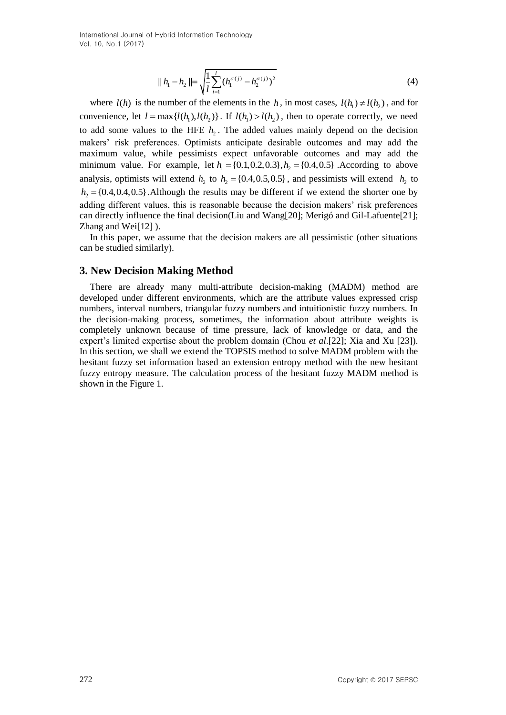International Journal of Hybrid Information Technology Vol. 10, No.1 (2017)

$$
|| h_1 - h_2 || = \sqrt{\frac{1}{l} \sum_{i=1}^{l} (h_1^{\sigma(j)} - h_2^{\sigma(j)})^2}
$$
 (4)

 $\|R_1 - h_2\| = \sqrt{\frac{1}{2}\sum_{i=1}^{n} (\alpha_i^{(i)})^2 - R_i^{(i)}}\}$  (4)<br>
where  $\{l(t)\}$  is the number of the elements in the *h*, in most cases,  $\{l(t)\}$  and  $\{l(t)\}$ <br>
conventiones, lat  $t = \max_l (l(t_1), l(t_1))$ . If  $l(t_1) > l(t_2)$ , then to operat where  $l(h)$  is the number of the elements in the h, in most cases,  $l(h_1) \neq l(h_2)$ , and for convenience, let  $l = \max\{l(h_1), l(h_2)\}\$ . If  $l(h_1) > l(h_2)$ , then to operate correctly, we need to add some values to the HFE  $h_2$ . The added values mainly depend on the decision makers" risk preferences. Optimists anticipate desirable outcomes and may add the maximum value, while pessimists expect unfavorable outcomes and may add the maximum value, while pessimists expect unfavorable outcomes and may add the minimum value. For example, let  $h_1 = \{0.1, 0.2, 0.3\}, h_2 = \{0.4, 0.5\}$ . According to above analysis, optimists will extend  $h_2$  to  $h_2 = \{0.4, 0.5, 0.5\}$ , and pessimists will extend  $h_2$  to  $h_2 = \{0.4, 0.4, 0.5\}$ . Although the results may be different if we extend the shorter one by adding different values, this is reasonable because the decision makers' risk preferences can directly influence the final decision(Liu and Wang[20]; Merigó and Gil-Lafuente[21]; Zhang and Wei[12] ).

In this paper, we assume that the decision makers are all pessimistic (other situations can be studied similarly).

#### **3. New Decision Making Method**

There are already many multi-attribute decision-making (MADM) method are developed under different environments, which are the attribute values expressed crisp numbers, interval numbers, triangular fuzzy numbers and intuitionistic fuzzy numbers. In the decision-making process, sometimes, the information about attribute weights is completely unknown because of time pressure, lack of knowledge or data, and the expert"s limited expertise about the problem domain (Chou *et al*.[22]; Xia and Xu [23]). In this section, we shall we extend the TOPSIS method to solve MADM problem with the hesitant fuzzy set information based an extension entropy method with the new hesitant fuzzy entropy measure. The calculation process of the hesitant fuzzy MADM method is shown in the Figure 1.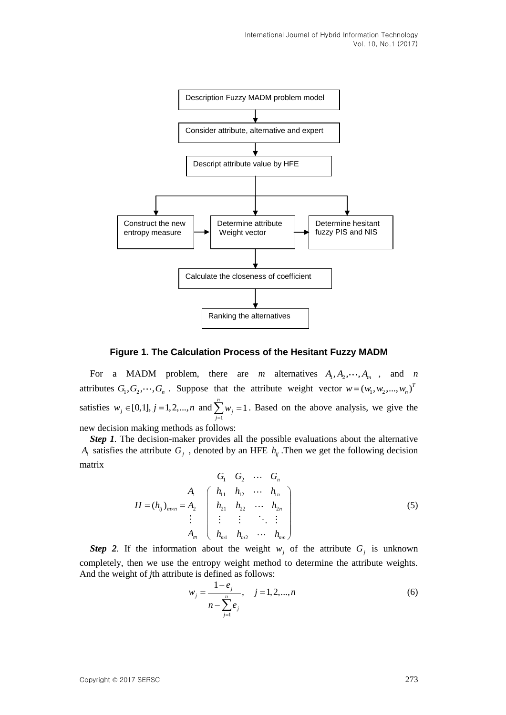

**Figure 1. The Calculation Process of the Hesitant Fuzzy MADM**

For a MADM problem, there are *m* alternatives  $A_1, A_2, \dots, A_m$ , and *n* attributes  $G_1, G_2, \dots, G_n$ . Suppose that the attribute weight vector  $w = (w_1, w_2, \dots, w_n)^T$ satisfies  $w_j \in [0,1], j = 1,2,...,n$  and 1  $\sum_{i=1}^{n} w_i = 1$  $\sum_{j=1}^{\infty}$ <sup>*w*</sup> *j w*  $\sum_{j=1} w_j = 1$ . Based on the above analysis, we give the new decision making methods as follows:

*Step 1.* The decision-maker provides all the possible evaluations about the alternative  $A_i$  satisfies the attribute  $G_j$ , denoted by an HFE  $h_{ij}$ . Then we get the following decision matrix

$$
H = (h_{ij})_{m \times n} = A_2 \begin{pmatrix} G_1 & G_2 & \cdots & G_n \\ h_{11} & h_{12} & \cdots & h_{1n} \\ h_{21} & h_{22} & \cdots & h_{2n} \\ \vdots & \vdots & \vdots & \ddots & \vdots \\ h_{m1} & h_{m2} & \cdots & h_{mn} \end{pmatrix}
$$
(5)

**Step 2.** If the information about the weight  $w_j$  of the attribute  $G_j$  is unknown completely, then we use the entropy weight method to determine the attribute weights. And the weight of *j*th attribute is defined as follows:

$$
w_j = \frac{1 - e_j}{n - \sum_{j=1}^n e_j}, \quad j = 1, 2, ..., n
$$
 (6)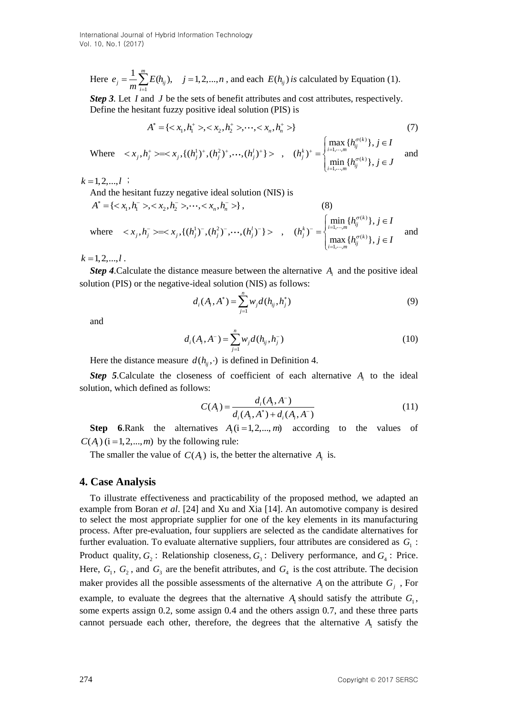Here 1  $\frac{1}{m}\sum_{j=1}^{m}E(h_{ij}), \quad j=1,2,...,$  $e_j = \frac{1}{m} \sum_{i=1}^{m} E(h_{ij}), \quad j = 1, 2, ..., n$ , and each  $E(h_{ij})$  *is* calculated by Equation (1).

*Step* 3. Let *I* and *J* be the sets of benefit attributes and cost attributes, respectively. Define the hesitant fuzzy positive ideal solution (PIS) is<br>  $A^* = \{ \langle x_1, h_1^* \rangle, \langle x_2, h_2^* \rangle, \dots, \langle x_n, h_n^* \rangle \}$ 

$$
A^* = \{ \langle x_1, h_1^+ \rangle, \langle x_2, h_2^+ \rangle, \dots, \langle x_n, h_n^+ \rangle \}
$$
 (7)

Where 
$$
\langle x_j, h_j^+ \rangle = \langle x_j, \{(h_j^1)^+, (h_j^2)^+, \cdots, (h_j^l)^+\} \rangle
$$
,  $(h_j^k)^+ = \begin{cases} \max_{i=1,\cdots,m} \{h_{ij}^{\sigma(k)}\}, j \in I \\ \min_{i=1,\cdots,m} \{h_{ij}^{\sigma(k)}\}, j \in J \end{cases}$  and

 $k = 1, 2, ..., l$ ;

And the height fuzzy negative ideal solution (NIS) is  
\n
$$
A^* = \{ \langle x_1, h_1^- \rangle, \langle x_2, h_2^- \rangle, \dots, \langle x_n, h_n^- \rangle \},
$$
\n(8)  
\nwhere  $\langle x_j, h_j^- \rangle = \langle x_j, \{(h_j^1)^-, (h_j^2)^-, \dots, (h_j^l)^-\} \rangle$ ,  $(h_j^k)^- = \begin{cases} \min_{i=1,\dots,m} \{h_{ij}^{\sigma(k)}\}, j \in I \\ \max_{i=1,\dots,m} \{h_{ij}^{\sigma(k)}\}, j \in I \end{cases}$  and

 $k = 1, 2, \dots, l$ .

*Step 4.* Calculate the distance measure between the alternative  $A_i$  and the positive ideal solution (PIS) or the negative-ideal solution (NIS) as follows:

$$
d_i(A_i, A^*) = \sum_{j=1}^n w_j d(h_{ij}, h_j^*)
$$
\n(9)

and

$$
d_i(A_i, A^-) = \sum_{j=1}^n w_j d(h_{ij}, h_j^-)
$$
\n(10)

Here the distance measure  $d(h_{ij}, \cdot)$  is defined in Definition 4.

**Step 5.**Calculate the closeness of coefficient of each alternative  $A_i$  to the ideal solution, which defined as follows:

$$
C(A_i) = \frac{d_i(A_i, A^-)}{d_i(A_i, A^*) + d_i(A_i, A^-)}
$$
(11)

**Step 6**.Rank the alternatives  $A_i$  ( $i = 1, 2, ..., m$ ) according to the values of  $C(A_i)$  ( $i = 1,2,...,m$ ) by the following rule:

The smaller the value of  $C(A_i)$  is, the better the alternative  $A_i$  is.

### **4. Case Analysis**

To illustrate effectiveness and practicability of the proposed method, we adapted an example from Boran *et al*. [24] and Xu and Xia [14]. An automotive company is desired to select the most appropriate supplier for one of the key elements in its manufacturing process. After pre-evaluation, four suppliers are selected as the candidate alternatives for further evaluation. To evaluate alternative suppliers, four attributes are considered as  $G<sub>1</sub>$ : Product quality,  $G_2$ : Relationship closeness,  $G_3$ : Delivery performance, and  $G_4$ : Price. Here,  $G_1$ ,  $G_2$ , and  $G_3$  are the benefit attributes, and  $G_4$  is the cost attribute. The decision maker provides all the possible assessments of the alternative  $A_i$  on the attribute  $G_j$ , For example, to evaluate the degrees that the alternative  $A<sub>1</sub>$  should satisfy the attribute  $G<sub>1</sub>$ ,

some experts assign 0*.*2, some assign 0*.*4 and the others assign 0*.*7, and these three parts cannot persuade each other, therefore, the degrees that the alternative  $A<sub>1</sub>$  satisfy the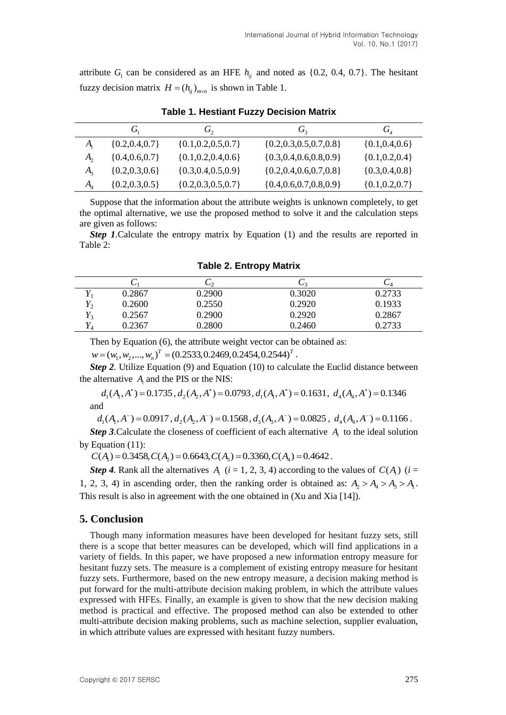attribute  $G_1$  can be considered as an HFE  $h_{ij}$  and noted as {0.2, 0.4, 0.7}. The hesitant fuzzy decision matrix  $H = (h_{ij})_{m \times n}$  is shown in Table 1.

|                             | $G_{1}$             | $G_{2}$                  | G <sub>2</sub>                | $G_{4}$             |  |  |
|-----------------------------|---------------------|--------------------------|-------------------------------|---------------------|--|--|
| $A_{i}$                     | $\{0.2, 0.4, 0.7\}$ | $\{0.1, 0.2, 0.5, 0.7\}$ | ${0.2, 0.3, 0.5, 0.7, 0.8}$   | $\{0.1, 0.4, 0.6\}$ |  |  |
| A,                          | $\{0.4, 0.6, 0.7\}$ | ${0.1, 0.2, 0.4, 0.6}$   | $\{0.3, 0.4, 0.6, 0.8, 0.9\}$ | ${0.1, 0.2, 0.4}$   |  |  |
| $A_{2}$                     | ${0.2, 0.3, 0.6}$   | $\{0.3, 0.4, 0.5, 0.9\}$ | $\{0.2, 0.4, 0.6, 0.7, 0.8\}$ | ${0.3, 0.4, 0.8}$   |  |  |
| $A_{\scriptscriptstyle{A}}$ | $\{0.2, 0.3, 0.5\}$ | $\{0.2, 0.3, 0.5, 0.7\}$ | $\{0.4, 0.6, 0.7, 0.8, 0.9\}$ | $\{0.1, 0.2, 0.7\}$ |  |  |

**Table 1. Hestiant Fuzzy Decision Matrix**

Suppose that the information about the attribute weights is unknown completely, to get the optimal alternative, we use the proposed method to solve it and the calculation steps are given as follows:

*Step 1.*Calculate the entropy matrix by Equation (1) and the results are reported in Table 2:

|       | $\overline{\smile}$ | しっ     | $\sim$ | ◡◮     |
|-------|---------------------|--------|--------|--------|
|       | 0.2867              | 0.2900 | 0.3020 | 0.2733 |
| $Y_2$ | 0.2600              | 0.2550 | 0.2920 | 0.1933 |
| $Y_3$ | 0.2567              | 0.2900 | 0.2920 | 0.2867 |
| 1 A   | 0.2367              | 0.2800 | 0.2460 | 0.2733 |

**Table 2. Entropy Matrix**

Then by Equation (6), the attribute weight vector can be obtained as: Then by Equation (6), the attribute weight vector can be  $w = (w_1, w_2, ..., w_n)^T = (0.2533, 0.2469, 0.2454, 0.2544)^T$ .

*Step 2*. Utilize Equation (9) and Equation (10) to calculate the Euclid distance between the alternative  $A_i$  and the PIS or the NIS:

 $d_1(A_1, A^*) = 0.1735$ ,  $d_2(A_2, A^*) = 0.0793$ ,  $d_1(A_1, A^*) = 0.1631$ ,  $d_4(A_4, A^*) = 0.1346$ and

 $d_1(A_1, A^-) = 0.0917$ ,  $d_2(A_2, A^-) = 0.1568$ ,  $d_3(A_3, A^-) = 0.0825$ ,  $d_4(A_4, A^-) = 0.1166$ .

**Step 3.** Calculate the closeness of coefficient of each alternative  $A_i$  to the ideal solution by Equation (11):

 $C(A_1) = 0.3458, C(A_2) = 0.6643, C(A_3) = 0.3360, C(A_4) = 0.4642$ .

*Step 4.* Rank all the alternatives  $A_i$  ( $i = 1, 2, 3, 4$ ) according to the values of  $C(A_i)$  ( $i = 1, 2, 3, 4$ ) 1, 2, 3, 4) in ascending order, then the ranking order is obtained as:  $A_2 > A_4 > A_3 > A_1$ . This result is also in agreement with the one obtained in (Xu and Xia [14]).

# **5. Conclusion**

Though many information measures have been developed for hesitant fuzzy sets, still there is a scope that better measures can be developed, which will find applications in a variety of fields. In this paper, we have proposed a new information entropy measure for hesitant fuzzy sets. The measure is a complement of existing entropy measure for hesitant fuzzy sets. Furthermore, based on the new entropy measure, a decision making method is put forward for the multi-attribute decision making problem, in which the attribute values expressed with HFEs. Finally, an example is given to show that the new decision making method is practical and effective. The proposed method can also be extended to other multi-attribute decision making problems, such as machine selection, supplier evaluation, in which attribute values are expressed with hesitant fuzzy numbers.